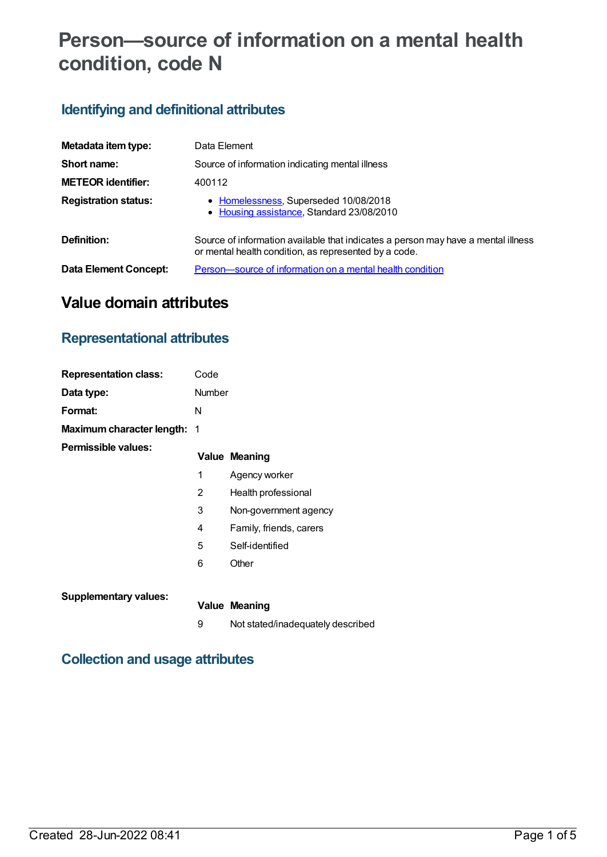# **Person—source of information on a mental health condition, code N**

## **Identifying and definitional attributes**

| Metadata item type:         | Data Element                                                                                                                               |
|-----------------------------|--------------------------------------------------------------------------------------------------------------------------------------------|
| Short name:                 | Source of information indicating mental illness                                                                                            |
| <b>METEOR</b> identifier:   | 400112                                                                                                                                     |
| <b>Registration status:</b> | • Homelessness, Superseded 10/08/2018<br>• Housing assistance, Standard 23/08/2010                                                         |
| Definition:                 | Source of information available that indicates a person may have a mental illness<br>or mental health condition, as represented by a code. |
| Data Element Concept:       | Person—source of information on a mental health condition                                                                                  |

# **Value domain attributes**

### **Representational attributes**

| <b>Representation class:</b>       | Code   |                                   |
|------------------------------------|--------|-----------------------------------|
| Data type:                         | Number |                                   |
| Format:                            | N      |                                   |
| <b>Maximum character length: 1</b> |        |                                   |
| <b>Permissible values:</b>         |        | <b>Value Meaning</b>              |
|                                    | 1      | Agency worker                     |
|                                    | 2      | Health professional               |
|                                    | 3      | Non-government agency             |
|                                    | 4      | Family, friends, carers           |
|                                    | 5      | Self-identified                   |
|                                    | 6      | Other                             |
| <b>Supplementary values:</b>       |        |                                   |
|                                    |        | <b>Value Meaning</b>              |
|                                    | 9      | Not stated/inadequately described |

### **Collection and usage attributes**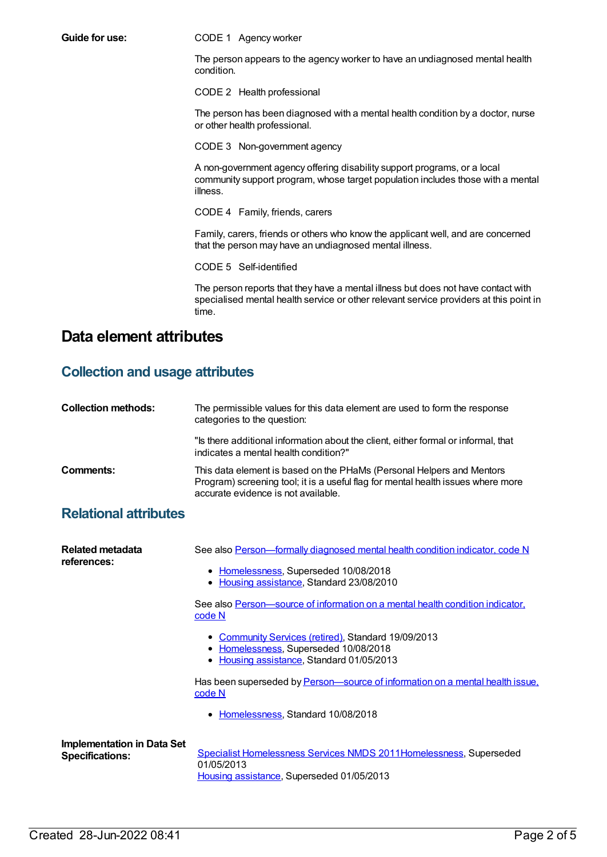**Guide for use:** CODE 1 Agency worker

The person appears to the agency worker to have an undiagnosed mental health condition.

CODE 2 Health professional

The person has been diagnosed with a mental health condition by a doctor, nurse or other health professional.

CODE 3 Non-government agency

A non-government agency offering disability support programs, or a local community support program, whose target population includes those with a mental illness.

CODE 4 Family, friends, carers

Family, carers, friends or others who know the applicant well, and are concerned that the person may have an undiagnosed mental illness.

CODE 5 Self-identified

The person reports that they have a mental illness but does not have contact with specialised mental health service or other relevant service providers at this point in time.

### **Data element attributes**

### **Collection and usage attributes**

| <b>Collection methods:</b> | The permissible values for this data element are used to form the response<br>categories to the question:                                                                                        |
|----------------------------|--------------------------------------------------------------------------------------------------------------------------------------------------------------------------------------------------|
|                            | "Is there additional information about the client, either formal or informal, that<br>indicates a mental health condition?"                                                                      |
| Comments:                  | This data element is based on the PHaMs (Personal Helpers and Mentors<br>Program) screening tool; it is a useful flag for mental health issues where more<br>accurate evidence is not available. |

### **Relational attributes**

| Related metadata<br>references:                             | See also Person-formally diagnosed mental health condition indicator, code N<br>• Homelessness, Superseded 10/08/2018<br>• Housing assistance, Standard 23/08/2010 |
|-------------------------------------------------------------|--------------------------------------------------------------------------------------------------------------------------------------------------------------------|
|                                                             | See also Person—source of information on a mental health condition indicator,<br>code N                                                                            |
|                                                             | • Community Services (retired), Standard 19/09/2013<br>Homelessness, Superseded 10/08/2018<br>٠<br>• Housing assistance, Standard 01/05/2013                       |
|                                                             | Has been superseded by Person—source of information on a mental health issue.<br>code N                                                                            |
|                                                             | • Homelessness, Standard 10/08/2018                                                                                                                                |
| <b>Implementation in Data Set</b><br><b>Specifications:</b> | Specialist Homelessness Services NMDS 2011Homelessness, Superseded<br>01/05/2013<br>Housing assistance, Superseded 01/05/2013                                      |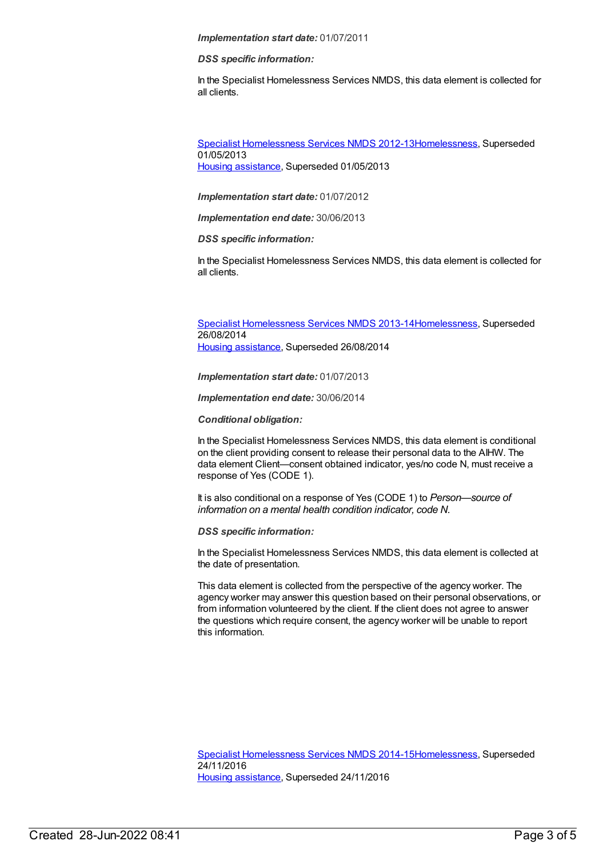#### *Implementation start date:* 01/07/2011

#### *DSS specific information:*

In the Specialist Homelessness Services NMDS, this data element is collected for all clients.

Specialist [Homelessness](https://meteor.aihw.gov.au/content/508954) Services NMDS 2012-1[3Homelessness](https://meteor.aihw.gov.au/RegistrationAuthority/14), Superseded 01/05/2013 Housing [assistance](https://meteor.aihw.gov.au/RegistrationAuthority/11), Superseded 01/05/2013

*Implementation start date:* 01/07/2012

*Implementation end date:* 30/06/2013

*DSS specific information:*

In the Specialist Homelessness Services NMDS, this data element is collected for all clients.

Specialist [Homelessness](https://meteor.aihw.gov.au/content/505626) Services NMDS 2013-1[4Homelessness](https://meteor.aihw.gov.au/RegistrationAuthority/14), Superseded 26/08/2014 Housing [assistance](https://meteor.aihw.gov.au/RegistrationAuthority/11), Superseded 26/08/2014

*Implementation start date:* 01/07/2013

*Implementation end date:* 30/06/2014

*Conditional obligation:*

In the Specialist Homelessness Services NMDS, this data element is conditional on the client providing consent to release their personal data to the AIHW. The data element Client—consent obtained indicator, yes/no code N, must receive a response of Yes (CODE 1).

It is also conditional on a response of Yes (CODE 1) to *Person—source of information on a mental health condition indicator, code N.*

*DSS specific information:*

In the Specialist Homelessness Services NMDS, this data element is collected at the date of presentation.

This data element is collected from the perspective of the agency worker. The agency worker may answer this question based on their personal observations, or from information volunteered by the client. If the client does not agree to answer the questions which require consent, the agency worker will be unable to report this information.

Specialist [Homelessness](https://meteor.aihw.gov.au/content/581255) Services NMDS 2014-1[5Homelessness](https://meteor.aihw.gov.au/RegistrationAuthority/14), Superseded 24/11/2016 Housing [assistance](https://meteor.aihw.gov.au/RegistrationAuthority/11), Superseded 24/11/2016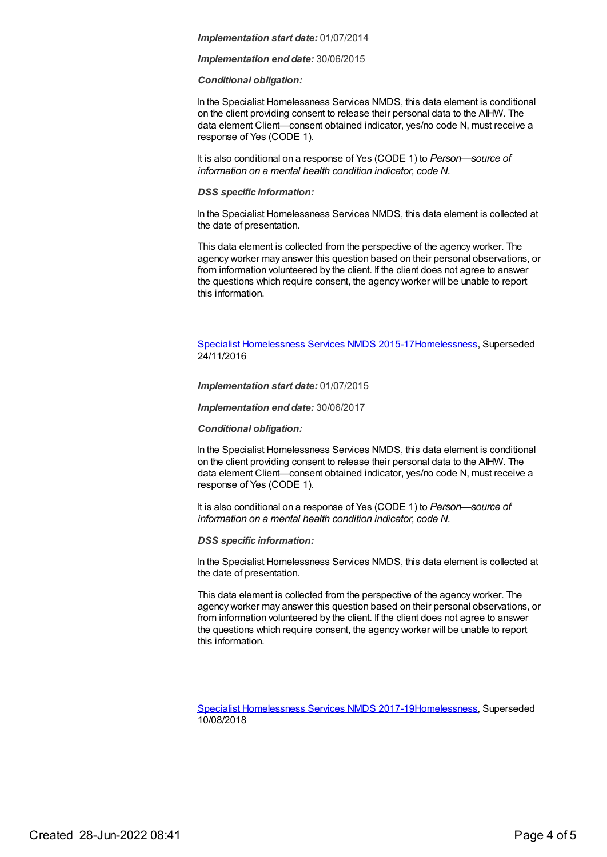#### *Implementation start date:* 01/07/2014

*Implementation end date:* 30/06/2015

#### *Conditional obligation:*

In the Specialist Homelessness Services NMDS, this data element is conditional on the client providing consent to release their personal data to the AIHW. The data element Client—consent obtained indicator, yes/no code N, must receive a response of Yes (CODE 1).

It is also conditional on a response of Yes (CODE 1) to *Person—source of information on a mental health condition indicator, code N.*

#### *DSS specific information:*

In the Specialist Homelessness Services NMDS, this data element is collected at the date of presentation.

This data element is collected from the perspective of the agency worker. The agency worker may answer this question based on their personal observations, or from information volunteered by the client. If the client does not agree to answer the questions which require consent, the agency worker will be unable to report this information.

Specialist [Homelessness](https://meteor.aihw.gov.au/content/658005) Services NMDS 2015-1[7Homelessness](https://meteor.aihw.gov.au/RegistrationAuthority/14), Superseded 24/11/2016

*Implementation start date:* 01/07/2015

*Implementation end date:* 30/06/2017

*Conditional obligation:*

In the Specialist Homelessness Services NMDS, this data element is conditional on the client providing consent to release their personal data to the AIHW. The data element Client—consent obtained indicator, yes/no code N, must receive a response of Yes (CODE 1).

It is also conditional on a response of Yes (CODE 1) to *Person—source of information on a mental health condition indicator, code N.*

*DSS specific information:*

In the Specialist Homelessness Services NMDS, this data element is collected at the date of presentation.

This data element is collected from the perspective of the agency worker. The agency worker may answer this question based on their personal observations, or from information volunteered by the client. If the client does not agree to answer the questions which require consent, the agency worker will be unable to report this information.

Specialist [Homelessness](https://meteor.aihw.gov.au/content/650006) Services NMDS 2017-1[9Homelessness](https://meteor.aihw.gov.au/RegistrationAuthority/14), Superseded 10/08/2018